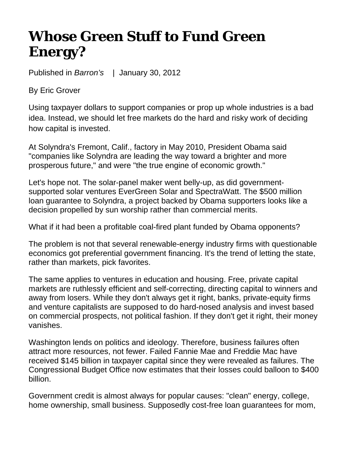## **Whose Green Stuff to Fund Green Energy?**

Published in *Barron's* | January 30, 2012

By Eric Grover

Using taxpayer dollars to support companies or prop up whole industries is a bad idea. Instead, we should let free markets do the hard and risky work of deciding how capital is invested.

At Solyndra's Fremont, Calif., factory in May 2010, President Obama said "companies like Solyndra are leading the way toward a brighter and more prosperous future," and were "the true engine of economic growth."

Let's hope not. The solar-panel maker went belly-up, as did governmentsupported solar ventures EverGreen Solar and SpectraWatt. The \$500 million loan guarantee to Solyndra, a project backed by Obama supporters looks like a decision propelled by sun worship rather than commercial merits.

What if it had been a profitable coal-fired plant funded by Obama opponents?

The problem is not that several renewable-energy industry firms with questionable economics got preferential government financing. It's the trend of letting the state, rather than markets, pick favorites.

The same applies to ventures in education and housing. Free, private capital markets are ruthlessly efficient and self-correcting, directing capital to winners and away from losers. While they don't always get it right, banks, private-equity firms and venture capitalists are supposed to do hard-nosed analysis and invest based on commercial prospects, not political fashion. If they don't get it right, their money vanishes.

Washington lends on politics and ideology. Therefore, business failures often attract more resources, not fewer. Failed Fannie Mae and Freddie Mac have received \$145 billion in taxpayer capital since they were revealed as failures. The Congressional Budget Office now estimates that their losses could balloon to \$400 billion.

Government credit is almost always for popular causes: "clean" energy, college, home ownership, small business. Supposedly cost-free loan guarantees for mom,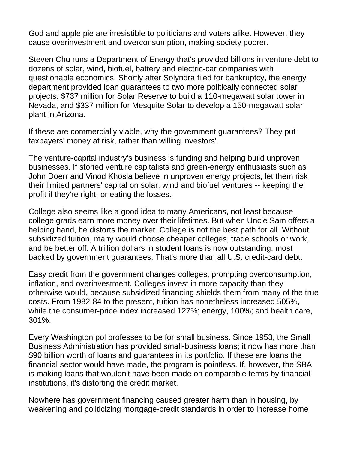God and apple pie are irresistible to politicians and voters alike. However, they cause overinvestment and overconsumption, making society poorer.

Steven Chu runs a Department of Energy that's provided billions in venture debt to dozens of solar, wind, biofuel, battery and electric-car companies with questionable economics. Shortly after Solyndra filed for bankruptcy, the energy department provided loan guarantees to two more politically connected solar projects: \$737 million for Solar Reserve to build a 110-megawatt solar tower in Nevada, and \$337 million for Mesquite Solar to develop a 150-megawatt solar plant in Arizona.

If these are commercially viable, why the government guarantees? They put taxpayers' money at risk, rather than willing investors'.

The venture-capital industry's business is funding and helping build unproven businesses. If storied venture capitalists and green-energy enthusiasts such as John Doerr and Vinod Khosla believe in unproven energy projects, let them risk their limited partners' capital on solar, wind and biofuel ventures -- keeping the profit if they're right, or eating the losses.

College also seems like a good idea to many Americans, not least because college grads earn more money over their lifetimes. But when Uncle Sam offers a helping hand, he distorts the market. College is not the best path for all. Without subsidized tuition, many would choose cheaper colleges, trade schools or work, and be better off. A trillion dollars in student loans is now outstanding, most backed by government guarantees. That's more than all U.S. credit-card debt.

Easy credit from the government changes colleges, prompting overconsumption, inflation, and overinvestment. Colleges invest in more capacity than they otherwise would, because subsidized financing shields them from many of the true costs. From 1982-84 to the present, tuition has nonetheless increased 505%, while the consumer-price index increased 127%; energy, 100%; and health care, 301%.

Every Washington pol professes to be for small business. Since 1953, the Small Business Administration has provided small-business loans; it now has more than \$90 billion worth of loans and guarantees in its portfolio. If these are loans the financial sector would have made, the program is pointless. If, however, the SBA is making loans that wouldn't have been made on comparable terms by financial institutions, it's distorting the credit market.

Nowhere has government financing caused greater harm than in housing, by weakening and politicizing mortgage-credit standards in order to increase home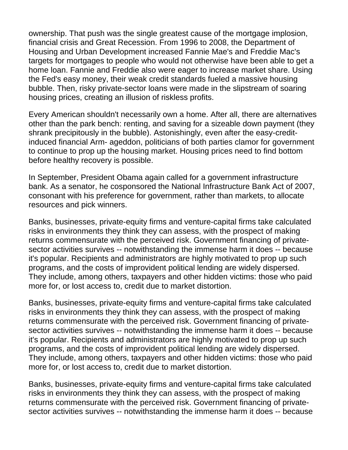ownership. That push was the single greatest cause of the mortgage implosion, financial crisis and Great Recession. From 1996 to 2008, the Department of Housing and Urban Development increased Fannie Mae's and Freddie Mac's targets for mortgages to people who would not otherwise have been able to get a home loan. Fannie and Freddie also were eager to increase market share. Using the Fed's easy money, their weak credit standards fueled a massive housing bubble. Then, risky private-sector loans were made in the slipstream of soaring housing prices, creating an illusion of riskless profits.

Every American shouldn't necessarily own a home. After all, there are alternatives other than the park bench: renting, and saving for a sizeable down payment (they shrank precipitously in the bubble). Astonishingly, even after the easy-creditinduced financial Arm- ageddon, politicians of both parties clamor for government to continue to prop up the housing market. Housing prices need to find bottom before healthy recovery is possible.

In September, President Obama again called for a government infrastructure bank. As a senator, he cosponsored the National Infrastructure Bank Act of 2007, consonant with his preference for government, rather than markets, to allocate resources and pick winners.

Banks, businesses, private-equity firms and venture-capital firms take calculated risks in environments they think they can assess, with the prospect of making returns commensurate with the perceived risk. Government financing of privatesector activities survives -- notwithstanding the immense harm it does -- because it's popular. Recipients and administrators are highly motivated to prop up such programs, and the costs of improvident political lending are widely dispersed. They include, among others, taxpayers and other hidden victims: those who paid more for, or lost access to, credit due to market distortion.

Banks, businesses, private-equity firms and venture-capital firms take calculated risks in environments they think they can assess, with the prospect of making returns commensurate with the perceived risk. Government financing of privatesector activities survives -- notwithstanding the immense harm it does -- because it's popular. Recipients and administrators are highly motivated to prop up such programs, and the costs of improvident political lending are widely dispersed. They include, among others, taxpayers and other hidden victims: those who paid more for, or lost access to, credit due to market distortion.

Banks, businesses, private-equity firms and venture-capital firms take calculated risks in environments they think they can assess, with the prospect of making returns commensurate with the perceived risk. Government financing of privatesector activities survives -- notwithstanding the immense harm it does -- because